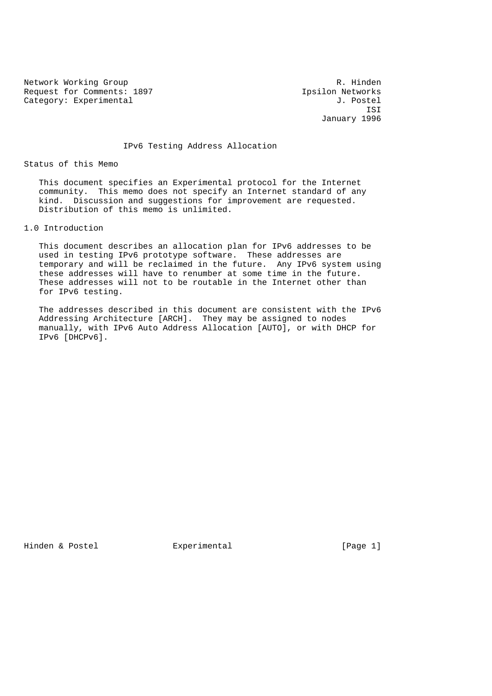Network Working Group **R. Hinden** Request for Comments: 1897 <br>
Category: Experimental *J. Postel* Category: Experimental

 ISI January 1996

IPv6 Testing Address Allocation

Status of this Memo

 This document specifies an Experimental protocol for the Internet community. This memo does not specify an Internet standard of any kind. Discussion and suggestions for improvement are requested. Distribution of this memo is unlimited.

1.0 Introduction

 This document describes an allocation plan for IPv6 addresses to be used in testing IPv6 prototype software. These addresses are temporary and will be reclaimed in the future. Any IPv6 system using these addresses will have to renumber at some time in the future. These addresses will not to be routable in the Internet other than for IPv6 testing.

 The addresses described in this document are consistent with the IPv6 Addressing Architecture [ARCH]. They may be assigned to nodes manually, with IPv6 Auto Address Allocation [AUTO], or with DHCP for IPv6 [DHCPv6].

Hinden & Postel **Experimental** [Page 1]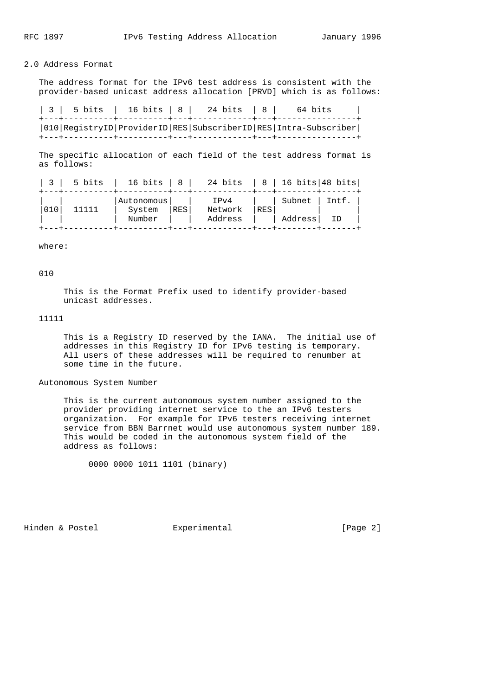## 2.0 Address Format

 The address format for the IPv6 test address is consistent with the provider-based unicast address allocation [PRVD] which is as follows:

| 3 | 5 bits | 16 bits | 8 | 24 bits | 8 | 64 bits | +---+----------+----------+---+------------+---+----------------+ |010|RegistryID|ProviderID|RES|SubscriberID|RES|Intra-Subscriber| +---+----------+----------+---+------------+---+----------------+

 The specific allocation of each field of the test address format is as follows:

| 5 bits |                      |     | 16 bits   8   24 bits   8   16 bits   48 bits |     |         |       |
|--------|----------------------|-----|-----------------------------------------------|-----|---------|-------|
|        | Autonomous<br>System | RES | IPv4<br>Network                               | RES | Subnet  | Intf. |
|        | Number               |     | Address                                       |     | Address | TD.   |

where:

010

 This is the Format Prefix used to identify provider-based unicast addresses.

11111

 This is a Registry ID reserved by the IANA. The initial use of addresses in this Registry ID for IPv6 testing is temporary. All users of these addresses will be required to renumber at some time in the future.

Autonomous System Number

 This is the current autonomous system number assigned to the provider providing internet service to the an IPv6 testers organization. For example for IPv6 testers receiving internet service from BBN Barrnet would use autonomous system number 189. This would be coded in the autonomous system field of the address as follows:

0000 0000 1011 1101 (binary)

Hinden & Postel **Experimental** Experimental [Page 2]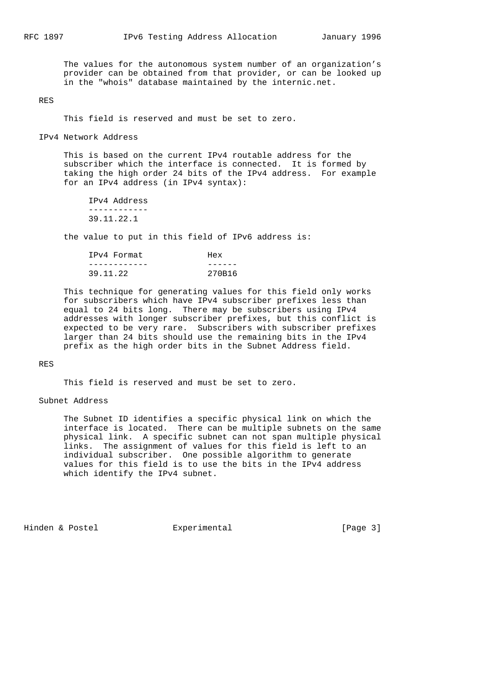The values for the autonomous system number of an organization's provider can be obtained from that provider, or can be looked up in the "whois" database maintained by the internic.net.

RES

This field is reserved and must be set to zero.

IPv4 Network Address

 This is based on the current IPv4 routable address for the subscriber which the interface is connected. It is formed by taking the high order 24 bits of the IPv4 address. For example for an IPv4 address (in IPv4 syntax):

 IPv4 Address ------------ 39.11.22.1

the value to put in this field of IPv6 address is:

| IPv4 Format | Hex    |
|-------------|--------|
|             |        |
| 39.11.22    | 270B16 |

 This technique for generating values for this field only works for subscribers which have IPv4 subscriber prefixes less than equal to 24 bits long. There may be subscribers using IPv4 addresses with longer subscriber prefixes, but this conflict is expected to be very rare. Subscribers with subscriber prefixes larger than 24 bits should use the remaining bits in the IPv4 prefix as the high order bits in the Subnet Address field.

## RES

This field is reserved and must be set to zero.

## Subnet Address

 The Subnet ID identifies a specific physical link on which the interface is located. There can be multiple subnets on the same physical link. A specific subnet can not span multiple physical links. The assignment of values for this field is left to an individual subscriber. One possible algorithm to generate values for this field is to use the bits in the IPv4 address which identify the IPv4 subnet.

Hinden & Postel **Experimental** Experimental [Page 3]